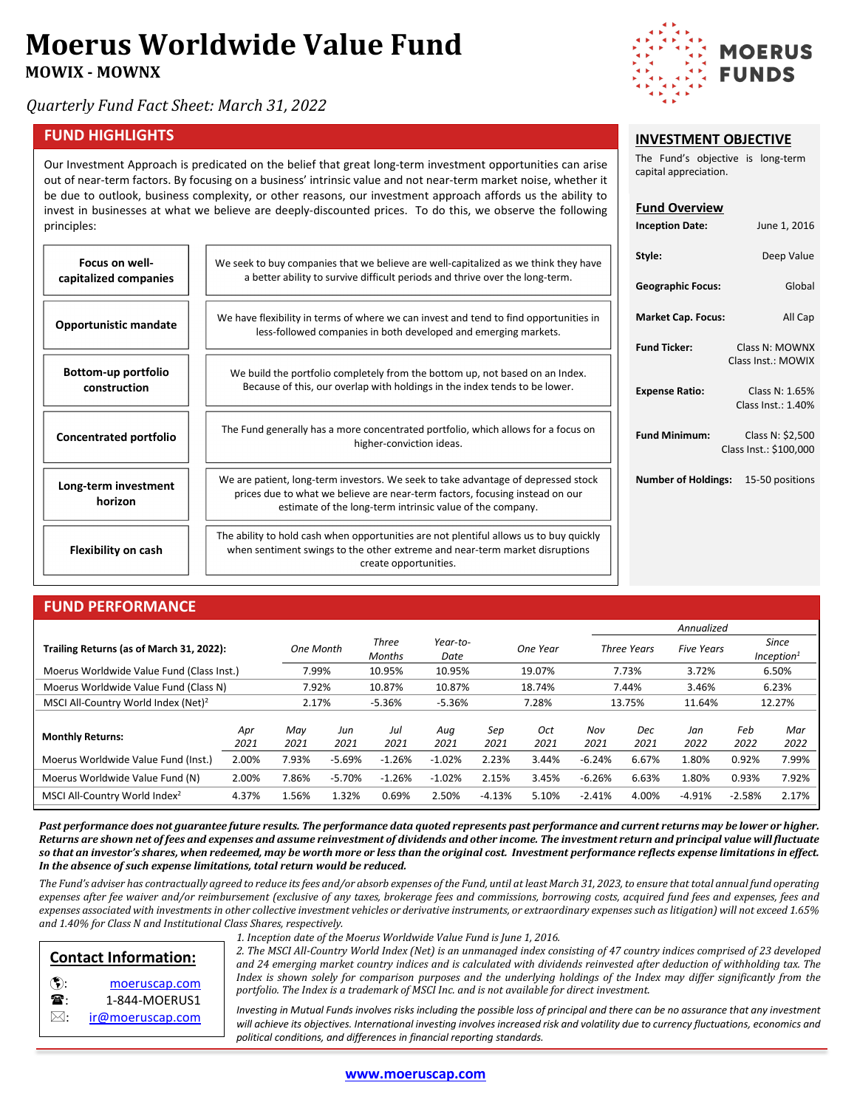# **Moerus Worldwide Value Fund**

**MOWIX - MOWNX**

*Quarterly Fund Fact Sheet: March 31, 2022*

#### **FUND HIGHLIGHTS**

Our Investment Approach is predicated on the belief that great long-term investment opportunities can arise out of near-term factors. By focusing on a business' intrinsic value and not near-term market noise, whether it be due to outlook, business complexity, or other reasons, our investment approach affords us the ability to invest in businesses at what we believe are deeply-discounted prices. To do this, we observe the following principles:

| <b>Focus on well-</b><br>capitalized companies | We seek to buy companies that we believe are well-capitalized as we think they have<br>a better ability to survive difficult periods and thrive over the long-term.                                                            |
|------------------------------------------------|--------------------------------------------------------------------------------------------------------------------------------------------------------------------------------------------------------------------------------|
| <b>Opportunistic mandate</b>                   | We have flexibility in terms of where we can invest and tend to find opportunities in<br>less-followed companies in both developed and emerging markets.                                                                       |
| Bottom-up portfolio<br>construction            | We build the portfolio completely from the bottom up, not based on an Index.<br>Because of this, our overlap with holdings in the index tends to be lower.                                                                     |
| <b>Concentrated portfolio</b>                  | The Fund generally has a more concentrated portfolio, which allows for a focus on<br>higher-conviction ideas.                                                                                                                  |
| Long-term investment<br>horizon                | We are patient, long-term investors. We seek to take advantage of depressed stock<br>prices due to what we believe are near-term factors, focusing instead on our<br>estimate of the long-term intrinsic value of the company. |
| <b>Flexibility on cash</b>                     | The ability to hold cash when opportunities are not plentiful allows us to buy quickly<br>when sentiment swings to the other extreme and near-term market disruptions<br>create opportunities.                                 |

#### **FUND PERFORMANCE**

|                                                 |       |           |          |                        |                  |          |          |          |                    | Annualized        |          |                                 |
|-------------------------------------------------|-------|-----------|----------|------------------------|------------------|----------|----------|----------|--------------------|-------------------|----------|---------------------------------|
| Trailing Returns (as of March 31, 2022):        |       | One Month |          | Three<br><b>Months</b> | Year-to-<br>Date |          | One Year |          | <b>Three Years</b> | <b>Five Years</b> |          | Since<br>Inception <sup>1</sup> |
| Moerus Worldwide Value Fund (Class Inst.)       |       | 7.99%     |          | 10.95%                 | 10.95%           |          | 19.07%   |          | 7.73%              | 3.72%             | 6.50%    |                                 |
| Moerus Worldwide Value Fund (Class N)           |       | 7.92%     |          | 10.87%                 | 10.87%           |          | 18.74%   |          | 7.44%              | 3.46%             |          | 6.23%                           |
| MSCI All-Country World Index (Net) <sup>2</sup> |       | 2.17%     |          | $-5.36%$               | $-5.36%$         |          | 7.28%    |          | 13.75%             |                   |          | 12.27%                          |
|                                                 |       |           |          |                        |                  |          |          |          |                    |                   |          |                                 |
| <b>Monthly Returns:</b>                         | Apr   | Mav       | Jun      | Jul                    | Aug              | Sep      | Oct      | Nov      | Dec                | Jan               | Feb      | Mar                             |
|                                                 | 2021  | 2021      | 2021     | 2021                   | 2021             | 2021     | 2021     | 2021     | 2021               | 2022              | 2022     | 2022                            |
| Moerus Worldwide Value Fund (Inst.)             | 2.00% | 7.93%     | $-5.69%$ | $-1.26%$               | $-1.02%$         | 2.23%    | 3.44%    | $-6.24%$ | 6.67%              | 1.80%             | 0.92%    | 7.99%                           |
| Moerus Worldwide Value Fund (N)                 | 2.00% | 7.86%     | $-5.70%$ | $-1.26%$               | $-1.02%$         | 2.15%    | 3.45%    | $-6.26%$ | 6.63%              | 1.80%             | 0.93%    | 7.92%                           |
| MSCI All-Country World Index <sup>2</sup>       | 4.37% | 1.56%     | .32%     | 0.69%                  | 2.50%            | $-4.13%$ | 5.10%    | $-2.41%$ | 4.00%              | $-4.91%$          | $-2.58%$ | 2.17%                           |

*Past performance does not guarantee future results. The performance data quoted represents past performance and current returns may be lower or higher. Returns are shown net of fees and expenses and assume reinvestment of dividends and other income. The investment return and principal value will fluctuate so that an investor's shares, when redeemed, may be worth more or less than the original cost. Investment performance reflects expense limitations in effect. In the absence of such expense limitations, total return would be reduced.* 

*The Fund's adviser has contractually agreed to reduce its fees and/or absorb expenses of the Fund, until at least March 31, 2023, to ensure that total annual fund operating expenses after fee waiver and/or reimbursement (exclusive of any taxes, brokerage fees and commissions, borrowing costs, acquired fund fees and expenses, fees and expenses associated with investments in other collective investment vehicles or derivative instruments, or extraordinary expenses such as litigation) will not exceed 1.65% and 1.40% for Class N and Institutional Class Shares, respectively.* 



: [ir@moeruscap.com](mailto:ir@moeruscap.com)

*1. Inception date of the Moerus Worldwide Value Fund is June 1, 2016.*

*2. The MSCI All-Country World Index (Net) is an unmanaged index consisting of 47 country indices comprised of 23 developed and 24 emerging market country indices and is calculated with dividends reinvested after deduction of withholding tax. The Index is shown solely for comparison purposes and the underlying holdings of the Index may differ significantly from the portfolio. The Index is a trademark of MSCI Inc. and is not available for direct investment.*

*Investing in Mutual Funds involves risks including the possible loss of principal and there can be no assurance that any investment will achieve its objectives. International investing involves increased risk and volatility due to currency fluctuations, economics and political conditions, and differences in financial reporting standards.*



**INVESTMENT OBJECTIVE** The Fund's objective is long-term

**Inception Date:** June 1, 2016

capital appreciation.

**Fund Overview**

| ey have<br>ì.  | Style:                                     | Deep Value                                 |
|----------------|--------------------------------------------|--------------------------------------------|
|                | <b>Geographic Focus:</b>                   | Global                                     |
| ities in       | <b>Market Cap. Focus:</b>                  | All Cap                                    |
|                | <b>Fund Ticker:</b>                        | Class N: MOWNX<br>Class Inst.: MOWIX       |
| dex.<br>r.     | <b>Expense Ratio:</b>                      | Class N: 1.65%<br>Class Inst.: 1.40%       |
| cus on         | <b>Fund Minimum:</b>                       | Class N: \$2,500<br>Class Inst.: \$100,000 |
| d stock<br>our | <b>Number of Holdings:</b> 15-50 positions |                                            |
| aujckly        |                                            |                                            |